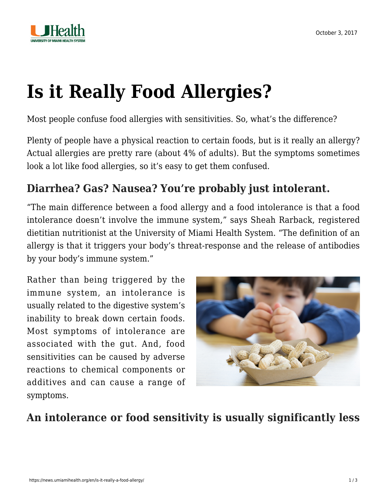



# **[Is it Really Food Allergies?](https://news.umiamihealth.org/en/is-it-really-a-food-allergy/)**

Most people confuse food allergies with sensitivities. So, what's the difference?

Plenty of people have a physical reaction to certain foods, but is it really an allergy? Actual allergies are pretty rare (about 4% of adults). But the symptoms sometimes look a lot like food allergies, so it's easy to get them confused.

## **Diarrhea? Gas? Nausea? You're probably just intolerant.**

"The main difference between a food allergy and a food intolerance is that a food intolerance doesn't involve the immune system," says Sheah Rarback, registered dietitian nutritionist at the University of Miami Health System. "The definition of an allergy is that it triggers your body's threat-response and the release of antibodies by your body's immune system."

Rather than being triggered by the immune system, an intolerance is usually related to the digestive system's inability to break down certain foods. Most symptoms of intolerance are associated with the gut. And, food sensitivities can be caused by adverse reactions to chemical components or additives and can cause a range of symptoms.



**An intolerance or food sensitivity is usually significantly less**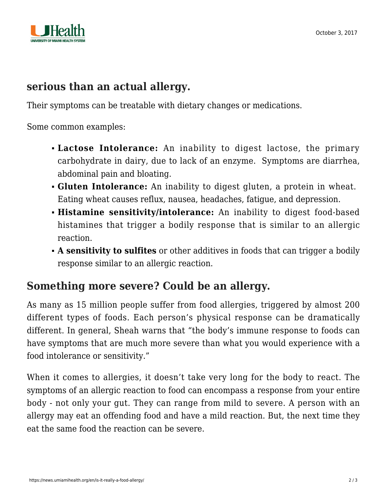

#### **serious than an actual allergy.**

Their symptoms can be treatable with dietary changes or medications.

Some common examples:

- **Lactose Intolerance:** An inability to digest lactose, the primary carbohydrate in dairy, due to lack of an enzyme. Symptoms are diarrhea, abdominal pain and bloating.
- **Gluten Intolerance:** An inability to digest gluten, a protein in wheat. Eating wheat causes reflux, nausea, headaches, fatigue, and depression.
- **Histamine sensitivity/intolerance:** An inability to digest food-based histamines that trigger a bodily response that is similar to an allergic reaction.
- **A sensitivity to sulfites** or other additives in foods that can trigger a bodily response similar to an allergic reaction.

### **Something more severe? Could be an allergy.**

As many as 15 million people suffer from food allergies, triggered by almost 200 different types of foods. Each person's physical response can be dramatically different. In general, Sheah warns that "the body's immune response to foods can have symptoms that are much more severe than what you would experience with a food intolerance or sensitivity."

When it comes to allergies, it doesn't take very long for the body to react. The symptoms of an allergic reaction to food can encompass a response from your entire body - not only your gut. They can range from mild to severe. A person with an allergy may eat an offending food and have a mild reaction. But, the next time they eat the same food the reaction can be severe.